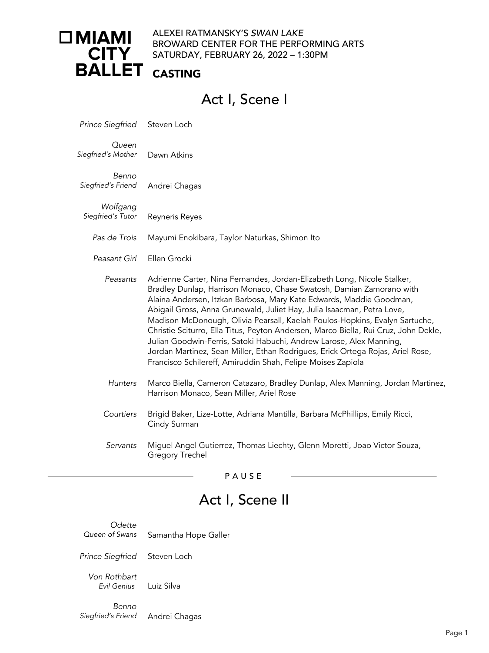### ALEXEI RATMANSKY'S *SWAN LAKE* BROWARD CENTER FOR THE PERFORMING ARTS SATURDAY, FEBRUARY 26, 2022 – 1:30PM

### CASTING

# Act I, Scene I

*Prince Siegfried* Steven Loch

*Queen Siegfried's Mother* Dawn Atkins

Benno<br>*Siegfried's Friend Siegfried's Friend* Andrei Chagas

*Wolfgang Siegfried's Tutor* Reyneris Reyes

*Pas de Trois* Mayumi Enokibara, Taylor Naturkas, Shimon Ito

*Peasant Girl* Ellen Grocki

- *Peasants* Adrienne Carter, Nina Fernandes, Jordan-Elizabeth Long, Nicole Stalker, Bradley Dunlap, Harrison Monaco, Chase Swatosh, Damian Zamorano with Alaina Andersen, Itzkan Barbosa, Mary Kate Edwards, Maddie Goodman, Abigail Gross, Anna Grunewald, Juliet Hay, Julia Isaacman, Petra Love, Madison McDonough, Olivia Pearsall, Kaelah Poulos-Hopkins, Evalyn Sartuche, Christie Sciturro, Ella Titus, Peyton Andersen, Marco Biella, Rui Cruz, John Dekle, Julian Goodwin-Ferris, Satoki Habuchi, Andrew Larose, Alex Manning, Jordan Martinez, Sean Miller, Ethan Rodrigues, Erick Ortega Rojas, Ariel Rose, Francisco Schilereff, Amiruddin Shah, Felipe Moises Zapiola
- *Hunters* Marco Biella, Cameron Catazaro, Bradley Dunlap, Alex Manning, Jordan Martinez, Harrison Monaco, Sean Miller, Ariel Rose
- *Courtiers* Brigid Baker, Lize-Lotte, Adriana Mantilla, Barbara McPhillips, Emily Ricci, Cindy Surman
- *Servants* Miguel Angel Gutierrez, Thomas Liechty, Glenn Moretti, Joao Victor Souza, Gregory Trechel

PAUSE

# Act I, Scene II

*Odette Queen of Swans* Samantha Hope Galler

*Prince Siegfried* Steven Loch

*Von Rothbart Evil Genius* Luiz Silva

Benno<br>*Siegfried's Friend Siegfried's Friend* Andrei Chagas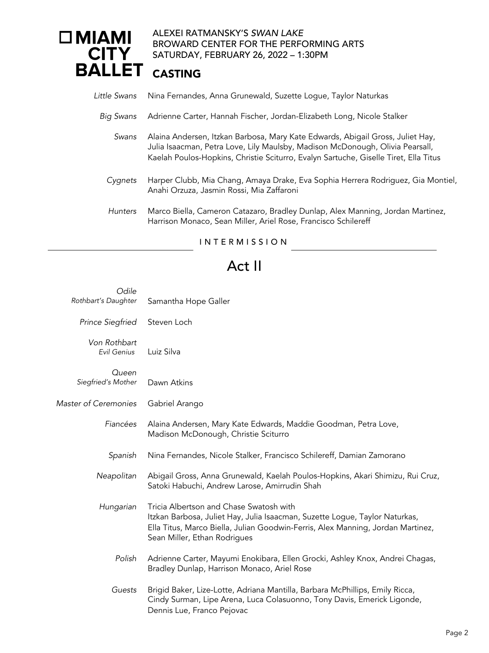#### ALEXEI RATMANSKY'S *SWAN LAKE*  $\Box$ MIAMI BROWARD CENTER FOR THE PERFORMING ARTS **CITY** SATURDAY, SATURDAY, FEBRUARY 26, 2022 – 1:30PM

| Little Swans   | Nina Fernandes, Anna Grunewald, Suzette Loque, Taylor Naturkas                                                                                                                                                                                          |
|----------------|---------------------------------------------------------------------------------------------------------------------------------------------------------------------------------------------------------------------------------------------------------|
| Big Swans      | Adrienne Carter, Hannah Fischer, Jordan-Elizabeth Long, Nicole Stalker                                                                                                                                                                                  |
| Swans          | Alaina Andersen, Itzkan Barbosa, Mary Kate Edwards, Abigail Gross, Juliet Hay,<br>Julia Isaacman, Petra Love, Lily Maulsby, Madison McDonough, Olivia Pearsall,<br>Kaelah Poulos-Hopkins, Christie Sciturro, Evalyn Sartuche, Giselle Tiret, Ella Titus |
| Cygnets        | Harper Clubb, Mia Chang, Amaya Drake, Eva Sophia Herrera Rodriguez, Gia Montiel,<br>Anahi Orzuza, Jasmin Rossi, Mia Zaffaroni                                                                                                                           |
| <b>Hunters</b> | Marco Biella, Cameron Catazaro, Bradley Dunlap, Alex Manning, Jordan Martinez,<br>Harrison Monaco, Sean Miller, Ariel Rose, Francisco Schilereff                                                                                                        |
|                | INTERMISSION                                                                                                                                                                                                                                            |

# Act II

| Odile                       |                                                                                                                                                                                                                                           |
|-----------------------------|-------------------------------------------------------------------------------------------------------------------------------------------------------------------------------------------------------------------------------------------|
| Rothbart's Daughter         | Samantha Hope Galler                                                                                                                                                                                                                      |
| Prince Siegfried            | Steven Loch                                                                                                                                                                                                                               |
| Von Rothbart<br>Evil Genius | Luiz Silva                                                                                                                                                                                                                                |
| Queen<br>Siegfried's Mother | Dawn Atkins                                                                                                                                                                                                                               |
| <b>Master of Ceremonies</b> | Gabriel Arango                                                                                                                                                                                                                            |
| Fiancées                    | Alaina Andersen, Mary Kate Edwards, Maddie Goodman, Petra Love,<br>Madison McDonough, Christie Sciturro                                                                                                                                   |
| Spanish                     | Nina Fernandes, Nicole Stalker, Francisco Schilereff, Damian Zamorano                                                                                                                                                                     |
| Neapolitan                  | Abigail Gross, Anna Grunewald, Kaelah Poulos-Hopkins, Akari Shimizu, Rui Cruz,<br>Satoki Habuchi, Andrew Larose, Amirrudin Shah                                                                                                           |
| Hungarian                   | Tricia Albertson and Chase Swatosh with<br>Itzkan Barbosa, Juliet Hay, Julia Isaacman, Suzette Logue, Taylor Naturkas,<br>Ella Titus, Marco Biella, Julian Goodwin-Ferris, Alex Manning, Jordan Martinez,<br>Sean Miller, Ethan Rodrigues |
| Polish                      | Adrienne Carter, Mayumi Enokibara, Ellen Grocki, Ashley Knox, Andrei Chagas,<br>Bradley Dunlap, Harrison Monaco, Ariel Rose                                                                                                               |
| Guests                      | Brigid Baker, Lize-Lotte, Adriana Mantilla, Barbara McPhillips, Emily Ricca,<br>Cindy Surman, Lipe Arena, Luca Colasuonno, Tony Davis, Emerick Ligonde,<br>Dennis Lue, Franco Pejovac                                                     |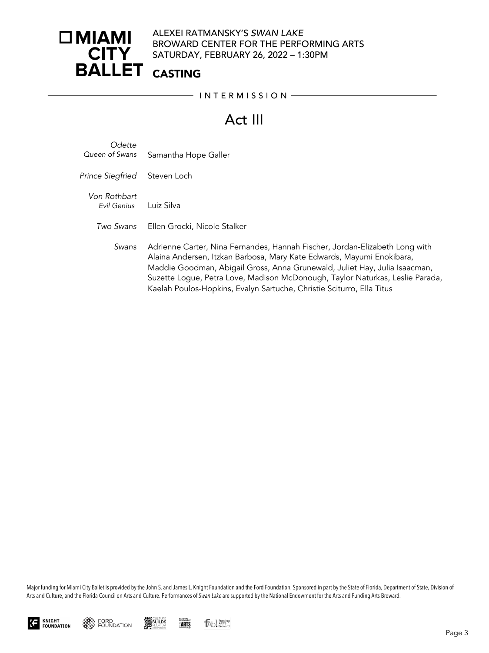### ALEXEI RATMANSKY'S *SWAN LAKE* BROWARD CENTER FOR THE PERFORMING ARTS SATURDAY, FEBRUARY 26, 2022 – 1:30PM

### CASTING

 $-$  INTERMISSION  $-$ 

# Act III

| Odette         |                      |
|----------------|----------------------|
| Queen of Swans | Samantha Hope Galler |

*Prince Siegfried* Steven Loch

*Von Rothbart Evil Genius* Luiz Silva

- *Two Swans* Ellen Grocki, Nicole Stalker
	- *Swans* Adrienne Carter, Nina Fernandes, Hannah Fischer, Jordan-Elizabeth Long with Alaina Andersen, Itzkan Barbosa, Mary Kate Edwards, Mayumi Enokibara, Maddie Goodman, Abigail Gross, Anna Grunewald, Juliet Hay, Julia Isaacman, Suzette Logue, Petra Love, Madison McDonough, Taylor Naturkas, Leslie Parada, Kaelah Poulos-Hopkins, Evalyn Sartuche, Christie Sciturro, Ella Titus

Major funding for Miami City Ballet is provided by the John S. and James L. Knight Foundation and the Ford Foundation. Sponsored in part by the State of Florida, Department of State, Division of Arts and Culture, and the Florida Council on Arts and Culture. Performances of *Swan Lake* are supported by the National Endowment for the Arts and Funding Arts Broward.





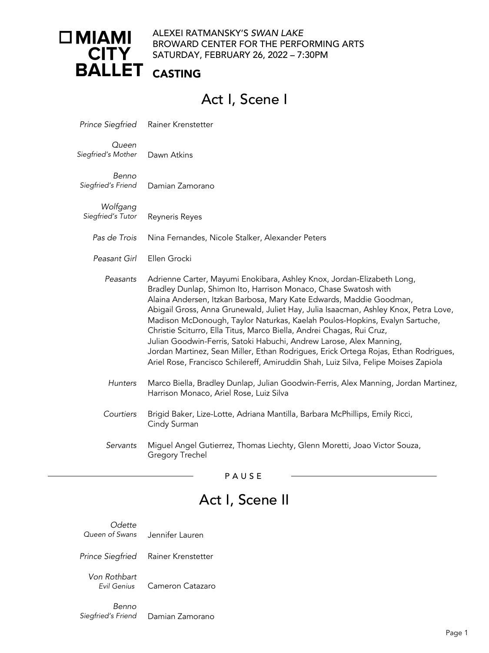# $\Box$ MIAMI **CITY BALLET**

### ALEXEI RATMANSKY'S *SWAN LAKE* BROWARD CENTER FOR THE PERFORMING ARTS SATURDAY, FEBRUARY 26, 2022 – 7:30PM

### CASTING

# Act I, Scene I

| <b>Prince Siegfried</b>       | Rainer Krenstetter                                                                                                                                                                                                                                                                                                                                                                                                                                                                                                                                                                                                                                                                                                   |
|-------------------------------|----------------------------------------------------------------------------------------------------------------------------------------------------------------------------------------------------------------------------------------------------------------------------------------------------------------------------------------------------------------------------------------------------------------------------------------------------------------------------------------------------------------------------------------------------------------------------------------------------------------------------------------------------------------------------------------------------------------------|
| Queen<br>Siegfried's Mother   | Dawn Atkins                                                                                                                                                                                                                                                                                                                                                                                                                                                                                                                                                                                                                                                                                                          |
| Benno<br>Siegfried's Friend   | Damian Zamorano                                                                                                                                                                                                                                                                                                                                                                                                                                                                                                                                                                                                                                                                                                      |
| Wolfgang<br>Siegfried's Tutor | Reyneris Reyes                                                                                                                                                                                                                                                                                                                                                                                                                                                                                                                                                                                                                                                                                                       |
| Pas de Trois                  | Nina Fernandes, Nicole Stalker, Alexander Peters                                                                                                                                                                                                                                                                                                                                                                                                                                                                                                                                                                                                                                                                     |
| Peasant Girl                  | Ellen Grocki                                                                                                                                                                                                                                                                                                                                                                                                                                                                                                                                                                                                                                                                                                         |
| Peasants                      | Adrienne Carter, Mayumi Enokibara, Ashley Knox, Jordan-Elizabeth Long,<br>Bradley Dunlap, Shimon Ito, Harrison Monaco, Chase Swatosh with<br>Alaina Andersen, Itzkan Barbosa, Mary Kate Edwards, Maddie Goodman,<br>Abigail Gross, Anna Grunewald, Juliet Hay, Julia Isaacman, Ashley Knox, Petra Love,<br>Madison McDonough, Taylor Naturkas, Kaelah Poulos-Hopkins, Evalyn Sartuche,<br>Christie Sciturro, Ella Titus, Marco Biella, Andrei Chagas, Rui Cruz,<br>Julian Goodwin-Ferris, Satoki Habuchi, Andrew Larose, Alex Manning,<br>Jordan Martinez, Sean Miller, Ethan Rodrigues, Erick Ortega Rojas, Ethan Rodrigues,<br>Ariel Rose, Francisco Schilereff, Amiruddin Shah, Luiz Silva, Felipe Moises Zapiola |
| <b>Hunters</b>                | Marco Biella, Bradley Dunlap, Julian Goodwin-Ferris, Alex Manning, Jordan Martinez,<br>Harrison Monaco, Ariel Rose, Luiz Silva                                                                                                                                                                                                                                                                                                                                                                                                                                                                                                                                                                                       |
| Courtiers                     | Brigid Baker, Lize-Lotte, Adriana Mantilla, Barbara McPhillips, Emily Ricci,<br>Cindy Surman                                                                                                                                                                                                                                                                                                                                                                                                                                                                                                                                                                                                                         |
| Servants                      | Miguel Angel Gutierrez, Thomas Liechty, Glenn Moretti, Joao Victor Souza,<br>Gregory Trechel                                                                                                                                                                                                                                                                                                                                                                                                                                                                                                                                                                                                                         |

PAUSE

# Act I, Scene II

**Odette**<br>Queen of Swans *Queen of Swans* Jennifer Lauren *Prince Siegfried* Rainer Krenstetter

*Von Rothbart Evil Genius* Cameron Catazaro

*Benno*<br>*Siegfried's Friend* **Damian Zamorano**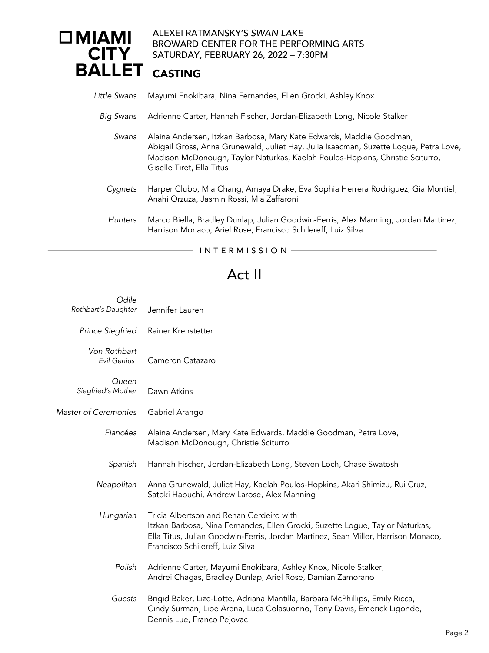#### ALEXEI RATMANSKY'S *SWAN LAKE*  $\Box$ MIAMI BROWARD CENTER FOR THE PERFORMING ARTS **CITY** SATURDAY, FEBRUARY 26, 2022 – 7:30PM

#### **BALLET** CASTING

- *Little Swans* Mayumi Enokibara, Nina Fernandes, Ellen Grocki, Ashley Knox
	- *Big Swans* Adrienne Carter, Hannah Fischer, Jordan-Elizabeth Long, Nicole Stalker
		- *Swans* Alaina Andersen, Itzkan Barbosa, Mary Kate Edwards, Maddie Goodman, Abigail Gross, Anna Grunewald, Juliet Hay, Julia Isaacman, Suzette Logue, Petra Love, Madison McDonough, Taylor Naturkas, Kaelah Poulos-Hopkins, Christie Sciturro, Giselle Tiret, Ella Titus
		- *Cygnets* Harper Clubb, Mia Chang, Amaya Drake, Eva Sophia Herrera Rodriguez, Gia Montiel, Anahi Orzuza, Jasmin Rossi, Mia Zaffaroni
		- *Hunters* Marco Biella, Bradley Dunlap, Julian Goodwin-Ferris, Alex Manning, Jordan Martinez, Harrison Monaco, Ariel Rose, Francisco Schilereff, Luiz Silva

#### $-$  INTERMISSION  $-$

## Act II

| Odile<br>Rothbart's Daughter | Jennifer Lauren                                                                                                                                                                                                                                    |
|------------------------------|----------------------------------------------------------------------------------------------------------------------------------------------------------------------------------------------------------------------------------------------------|
| <b>Prince Siegfried</b>      | Rainer Krenstetter                                                                                                                                                                                                                                 |
| Von Rothbart<br>Evil Genius  | Cameron Catazaro                                                                                                                                                                                                                                   |
| Queen<br>Siegfried's Mother  | Dawn Atkins                                                                                                                                                                                                                                        |
| Master of Ceremonies         | Gabriel Arango                                                                                                                                                                                                                                     |
| Fiancées                     | Alaina Andersen, Mary Kate Edwards, Maddie Goodman, Petra Love,<br>Madison McDonough, Christie Sciturro                                                                                                                                            |
| Spanish                      | Hannah Fischer, Jordan-Elizabeth Long, Steven Loch, Chase Swatosh                                                                                                                                                                                  |
| Neapolitan                   | Anna Grunewald, Juliet Hay, Kaelah Poulos-Hopkins, Akari Shimizu, Rui Cruz,<br>Satoki Habuchi, Andrew Larose, Alex Manning                                                                                                                         |
| Hungarian                    | Tricia Albertson and Renan Cerdeiro with<br>Itzkan Barbosa, Nina Fernandes, Ellen Grocki, Suzette Logue, Taylor Naturkas,<br>Ella Titus, Julian Goodwin-Ferris, Jordan Martinez, Sean Miller, Harrison Monaco,<br>Francisco Schilereff, Luiz Silva |
| Polish                       | Adrienne Carter, Mayumi Enokibara, Ashley Knox, Nicole Stalker,<br>Andrei Chagas, Bradley Dunlap, Ariel Rose, Damian Zamorano                                                                                                                      |
| Guests                       | Brigid Baker, Lize-Lotte, Adriana Mantilla, Barbara McPhillips, Emily Ricca,<br>Cindy Surman, Lipe Arena, Luca Colasuonno, Tony Davis, Emerick Ligonde,<br>Dennis Lue, Franco Pejovac                                                              |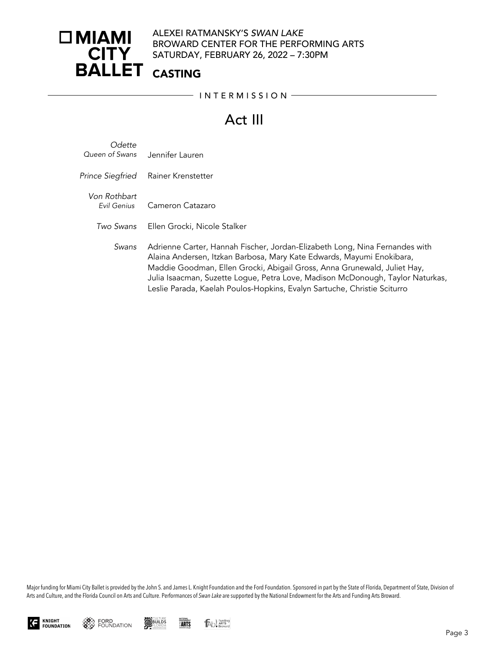### ALEXEI RATMANSKY'S *SWAN LAKE* BROWARD CENTER FOR THE PERFORMING ARTS SATURDAY, FEBRUARY 26, 2022 – 7:30PM

### CASTING

 $-$  INTERMISSION  $-$ 

# Act III

- *Odette Queen of Swans* Jennifer Lauren
- *Prince Siegfried* Rainer Krenstetter
	- *Von Rothbart Evil Genius* Cameron Catazaro
		- *Two Swans* Ellen Grocki, Nicole Stalker
			- *Swans* Adrienne Carter, Hannah Fischer, Jordan-Elizabeth Long, Nina Fernandes with Alaina Andersen, Itzkan Barbosa, Mary Kate Edwards, Mayumi Enokibara, Maddie Goodman, Ellen Grocki, Abigail Gross, Anna Grunewald, Juliet Hay, Julia Isaacman, Suzette Logue, Petra Love, Madison McDonough, Taylor Naturkas, Leslie Parada, Kaelah Poulos-Hopkins, Evalyn Sartuche, Christie Sciturro

Major funding for Miami City Ballet is provided by the John S. and James L. Knight Foundation and the Ford Foundation. Sponsored in part by the State of Florida, Department of State, Division of Arts and Culture, and the Florida Council on Arts and Culture. Performances of *Swan Lake* are supported by the National Endowment for the Arts and Funding Arts Broward.







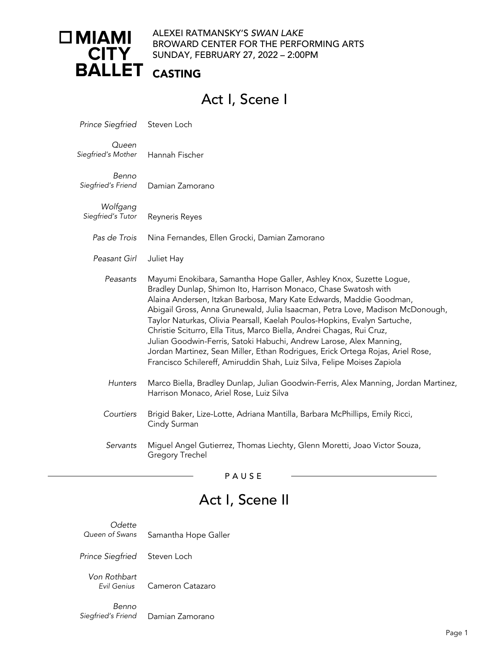# □ MIAMI · **CITY BALLET**

#### ALEXEI RATMANSKY'S *SWAN LAKE* BROWARD CENTER FOR THE PERFORMING ARTS SUNDAY, FEBRUARY 27, 2022 – 2:00PM

### CASTING

# Act I, Scene I

*Prince Siegfried* Steven Loch

*Queen Siegfried's Mother* Hannah Fischer

Benno<br>*Siegfried's Friend Siegfried's Friend* Damian Zamorano

*Wolfgang Siegfried's Tutor* Reyneris Reyes

*Pas de Trois* Nina Fernandes, Ellen Grocki, Damian Zamorano

*Peasant Girl* Juliet Hay

- *Peasants* Mayumi Enokibara, Samantha Hope Galler, Ashley Knox, Suzette Logue, Bradley Dunlap, Shimon Ito, Harrison Monaco, Chase Swatosh with Alaina Andersen, Itzkan Barbosa, Mary Kate Edwards, Maddie Goodman, Abigail Gross, Anna Grunewald, Julia Isaacman, Petra Love, Madison McDonough, Taylor Naturkas, Olivia Pearsall, Kaelah Poulos-Hopkins, Evalyn Sartuche, Christie Sciturro, Ella Titus, Marco Biella, Andrei Chagas, Rui Cruz, Julian Goodwin-Ferris, Satoki Habuchi, Andrew Larose, Alex Manning, Jordan Martinez, Sean Miller, Ethan Rodrigues, Erick Ortega Rojas, Ariel Rose, Francisco Schilereff, Amiruddin Shah, Luiz Silva, Felipe Moises Zapiola
- *Hunters* Marco Biella, Bradley Dunlap, Julian Goodwin-Ferris, Alex Manning, Jordan Martinez, Harrison Monaco, Ariel Rose, Luiz Silva
- *Courtiers* Brigid Baker, Lize-Lotte, Adriana Mantilla, Barbara McPhillips, Emily Ricci, Cindy Surman
- *Servants* Miguel Angel Gutierrez, Thomas Liechty, Glenn Moretti, Joao Victor Souza, Gregory Trechel

PAUSE

# Act I, Scene II

*Odette Queen of Swans* Samantha Hope Galler

*Prince Siegfried* Steven Loch

*Von Rothbart Evil Genius* Cameron Catazaro

Benno<br>Siegfried's Friend **Damian Zamorano**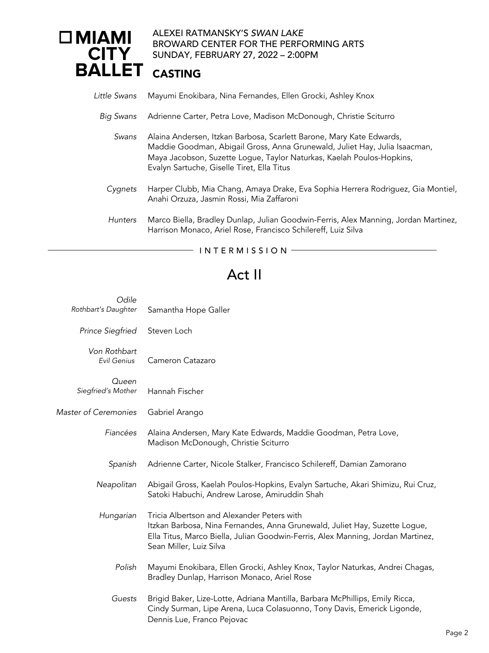#### ALEXEI RATMANSKY'S *SWAN LAKE*  $\square$  MIAMI BROWARD CENTER FOR THE PERFORMING ARTS **CITY** SUNDAY, FEBRUARY 27, 2022 – 2:00PM **BALLET**

### CASTING

|  |  |  | Little Swans Mayumi Enokibara, Nina Fernandes, Ellen Grocki, Ashley Knox |
|--|--|--|--------------------------------------------------------------------------|
|--|--|--|--------------------------------------------------------------------------|

- *Big Swans* Adrienne Carter, Petra Love, Madison McDonough, Christie Sciturro
	- *Swans* Alaina Andersen, Itzkan Barbosa, Scarlett Barone, Mary Kate Edwards, Maddie Goodman, Abigail Gross, Anna Grunewald, Juliet Hay, Julia Isaacman, Maya Jacobson, Suzette Logue, Taylor Naturkas, Kaelah Poulos-Hopkins, Evalyn Sartuche, Giselle Tiret, Ella Titus
	- *Cygnets* Harper Clubb, Mia Chang, Amaya Drake, Eva Sophia Herrera Rodriguez, Gia Montiel, Anahi Orzuza, Jasmin Rossi, Mia Zaffaroni
	- *Hunters* Marco Biella, Bradley Dunlap, Julian Goodwin-Ferris, Alex Manning, Jordan Martinez, Harrison Monaco, Ariel Rose, Francisco Schilereff, Luiz Silva

#### $-$  INTERMISSION  $-$

### Act II

| Odile<br>Rothbart's Daughter | Samantha Hope Galler                                                                                                                                                                                                                   |
|------------------------------|----------------------------------------------------------------------------------------------------------------------------------------------------------------------------------------------------------------------------------------|
|                              |                                                                                                                                                                                                                                        |
| <b>Prince Siegfried</b>      | Steven Loch                                                                                                                                                                                                                            |
| Von Rothbart<br>Evil Genius  | Cameron Catazaro                                                                                                                                                                                                                       |
| Queen<br>Siegfried's Mother  | Hannah Fischer                                                                                                                                                                                                                         |
| <b>Master of Ceremonies</b>  | Gabriel Arango                                                                                                                                                                                                                         |
| Fiancées                     | Alaina Andersen, Mary Kate Edwards, Maddie Goodman, Petra Love,<br>Madison McDonough, Christie Sciturro                                                                                                                                |
| Spanish                      | Adrienne Carter, Nicole Stalker, Francisco Schilereff, Damian Zamorano                                                                                                                                                                 |
| Neapolitan                   | Abigail Gross, Kaelah Poulos-Hopkins, Evalyn Sartuche, Akari Shimizu, Rui Cruz,<br>Satoki Habuchi, Andrew Larose, Amiruddin Shah                                                                                                       |
| Hungarian                    | Tricia Albertson and Alexander Peters with<br>Itzkan Barbosa, Nina Fernandes, Anna Grunewald, Juliet Hay, Suzette Logue,<br>Ella Titus, Marco Biella, Julian Goodwin-Ferris, Alex Manning, Jordan Martinez,<br>Sean Miller, Luiz Silva |
| Polish                       | Mayumi Enokibara, Ellen Grocki, Ashley Knox, Taylor Naturkas, Andrei Chagas,<br>Bradley Dunlap, Harrison Monaco, Ariel Rose                                                                                                            |
| Guests                       | Brigid Baker, Lize-Lotte, Adriana Mantilla, Barbara McPhillips, Emily Ricca,<br>Cindy Surman, Lipe Arena, Luca Colasuonno, Tony Davis, Emerick Ligonde,<br>Dennis Lue, Franco Pejovac                                                  |